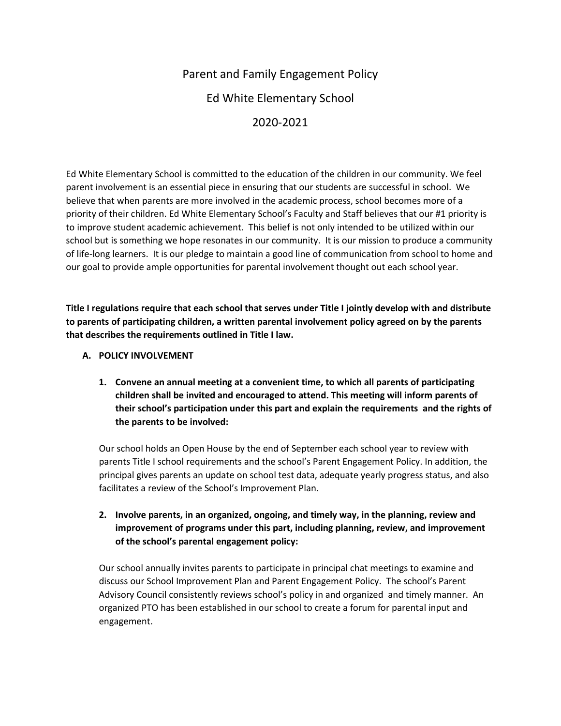# Parent and Family Engagement Policy

Ed White Elementary School

# 2020-2021

Ed White Elementary School is committed to the education of the children in our community. We feel parent involvement is an essential piece in ensuring that our students are successful in school. We believe that when parents are more involved in the academic process, school becomes more of a priority of their children. Ed White Elementary School's Faculty and Staff believes that our #1 priority is to improve student academic achievement. This belief is not only intended to be utilized within our school but is something we hope resonates in our community. It is our mission to produce a community of life-long learners. It is our pledge to maintain a good line of communication from school to home and our goal to provide ample opportunities for parental involvement thought out each school year.

**Title I regulations require that each school that serves under Title I jointly develop with and distribute to parents of participating children, a written parental involvement policy agreed on by the parents that describes the requirements outlined in Title I law.**

### **A. POLICY INVOLVEMENT**

**1. Convene an annual meeting at a convenient time, to which all parents of participating children shall be invited and encouraged to attend. This meeting will inform parents of their school's participation under this part and explain the requirements and the rights of the parents to be involved:**

Our school holds an Open House by the end of September each school year to review with parents Title I school requirements and the school's Parent Engagement Policy. In addition, the principal gives parents an update on school test data, adequate yearly progress status, and also facilitates a review of the School's Improvement Plan.

## **2. Involve parents, in an organized, ongoing, and timely way, in the planning, review and improvement of programs under this part, including planning, review, and improvement of the school's parental engagement policy:**

Our school annually invites parents to participate in principal chat meetings to examine and discuss our School Improvement Plan and Parent Engagement Policy. The school's Parent Advisory Council consistently reviews school's policy in and organized and timely manner. An organized PTO has been established in our school to create a forum for parental input and engagement.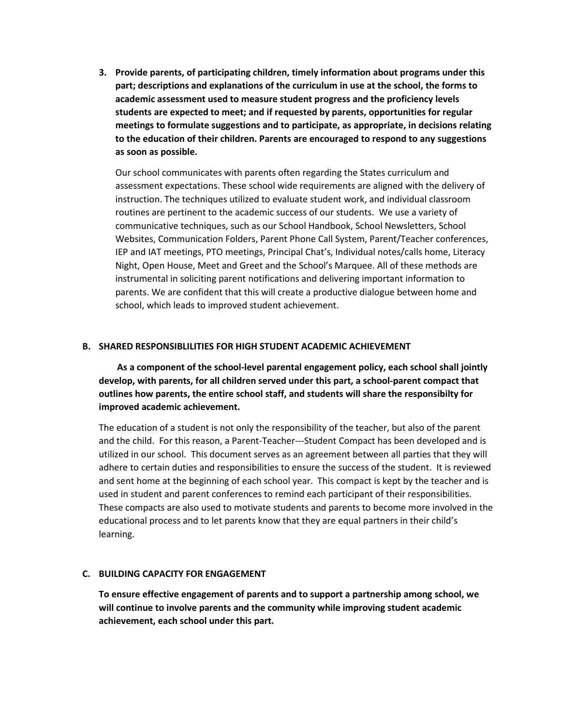**3. Provide parents, of participating children, timely information about programs under this part; descriptions and explanations of the curriculum in use at the school, the forms to academic assessment used to measure student progress and the proficiency levels students are expected to meet; and if requested by parents, opportunities for regular meetings to formulate suggestions and to participate, as appropriate, in decisions relating to the education of their children. Parents are encouraged to respond to any suggestions as soon as possible.**

Our school communicates with parents often regarding the States curriculum and assessment expectations. These school wide requirements are aligned with the delivery of instruction. The techniques utilized to evaluate student work, and individual classroom routines are pertinent to the academic success of our students. We use a variety of communicative techniques, such as our School Handbook, School Newsletters, School Websites, Communication Folders, Parent Phone Call System, Parent/Teacher conferences, IEP and IAT meetings, PTO meetings, Principal Chat's, Individual notes/calls home, Literacy Night, Open House, Meet and Greet and the School's Marquee. All of these methods are instrumental in soliciting parent notifications and delivering important information to parents. We are confident that this will create a productive dialogue between home and school, which leads to improved student achievement.

#### **B. SHARED RESPONSIBLILITIES FOR HIGH STUDENT ACADEMIC ACHIEVEMENT**

 **As a component of the school-level parental engagement policy, each school shall jointly develop, with parents, for all children served under this part, a school-parent compact that outlines how parents, the entire school staff, and students will share the responsibilty for improved academic achievement.**

The education of a student is not only the responsibility of the teacher, but also of the parent and the child. For this reason, a Parent-Teacher---Student Compact has been developed and is utilized in our school. This document serves as an agreement between all parties that they will adhere to certain duties and responsibilities to ensure the success of the student. It is reviewed and sent home at the beginning of each school year. This compact is kept by the teacher and is used in student and parent conferences to remind each participant of their responsibilities. These compacts are also used to motivate students and parents to become more involved in the educational process and to let parents know that they are equal partners in their child's learning.

#### **C. BUILDING CAPACITY FOR ENGAGEMENT**

**To ensure effective engagement of parents and to support a partnership among school, we will continue to involve parents and the community while improving student academic achievement, each school under this part.**